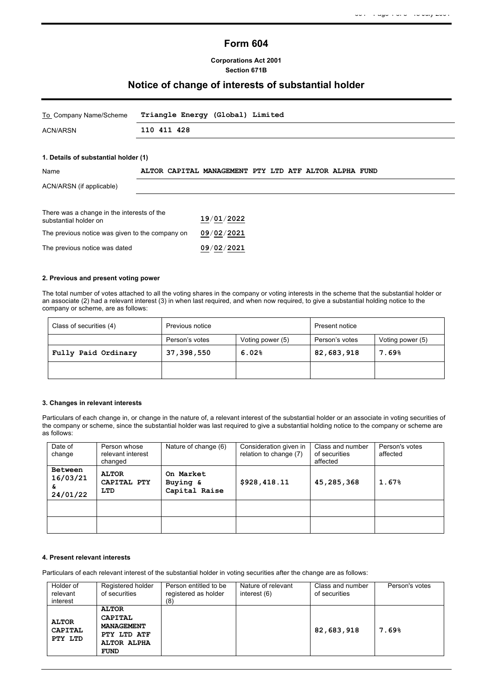# **Form 604**

## **Corporations Act 2001 Section 671B**

## **Notice of change of interests of substantial holder**

| To Company Name/Scheme                                              | Triangle Energy (Global) Limited                      |
|---------------------------------------------------------------------|-------------------------------------------------------|
| <b>ACN/ARSN</b>                                                     | 110 411 428                                           |
|                                                                     |                                                       |
| 1. Details of substantial holder (1)                                |                                                       |
| Name                                                                | ALTOR CAPITAL MANAGEMENT PTY LTD ATF ALTOR ALPHA FUND |
| ACN/ARSN (if applicable)                                            |                                                       |
|                                                                     |                                                       |
| There was a change in the interests of the<br>substantial holder on | 19/01/2022                                            |
| The previous notice was given to the company on                     | 09/02/2021                                            |

#### **2. Previous and present voting power**

The previous notice was dated **09**/**02**/**2021**

The total number of votes attached to all the voting shares in the company or voting interests in the scheme that the substantial holder or an associate (2) had a relevant interest (3) in when last required, and when now required, to give a substantial holding notice to the company or scheme, are as follows:

| Class of securities (4) | Previous notice |                  | Present notice |                  |
|-------------------------|-----------------|------------------|----------------|------------------|
|                         | Person's votes  | Voting power (5) | Person's votes | Voting power (5) |
| Fully Paid Ordinary     | 37,398,550      | 6.02%            | 82,683,918     | 7.69%            |
|                         |                 |                  |                |                  |

#### **3. Changes in relevant interests**

Particulars of each change in, or change in the nature of, a relevant interest of the substantial holder or an associate in voting securities of the company or scheme, since the substantial holder was last required to give a substantial holding notice to the company or scheme are as follows:

| Date of<br>change                     | Person whose<br>relevant interest<br>changed | Nature of change (6)                   | Consideration given in<br>relation to change (7) | Class and number<br>of securities<br>affected | Person's votes<br>affected |
|---------------------------------------|----------------------------------------------|----------------------------------------|--------------------------------------------------|-----------------------------------------------|----------------------------|
| Between<br>16/03/21<br>&.<br>24/01/22 | <b>ALTOR</b><br>CAPITAL PTY<br>LTD           | On Market<br>Buying &<br>Capital Raise | \$928,418.11                                     | 45,285,368                                    | 1.67%                      |
|                                       |                                              |                                        |                                                  |                                               |                            |
|                                       |                                              |                                        |                                                  |                                               |                            |

#### **4. Present relevant interests**

Particulars of each relevant interest of the substantial holder in voting securities after the change are as follows:

| Holder of<br>relevant<br>interest         | Registered holder<br>of securities                                                               | Person entitled to be<br>registered as holder<br>(8) | Nature of relevant<br>interest (6) | Class and number<br>of securities | Person's votes |
|-------------------------------------------|--------------------------------------------------------------------------------------------------|------------------------------------------------------|------------------------------------|-----------------------------------|----------------|
| <b>ALTOR</b><br><b>CAPITAL</b><br>PTY LTD | <b>ALTOR</b><br>CAPITAL<br><b>MANAGEMENT</b><br>PTY LTD ATF<br><b>ALTOR ALPHA</b><br><b>FUND</b> |                                                      |                                    | 82,683,918                        | 7.69%          |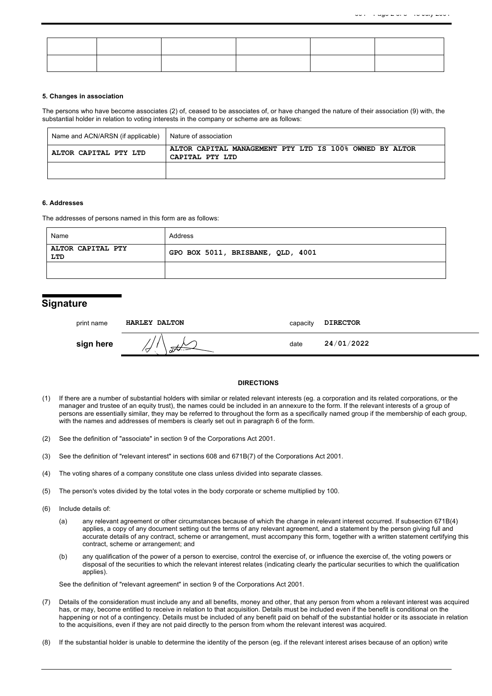#### **5. Changes in association**

The persons who have become associates (2) of, ceased to be associates of, or have changed the nature of their association (9) with, the substantial holder in relation to voting interests in the company or scheme are as follows:

| Name and ACN/ARSN (if applicable) | Nature of association                                                      |
|-----------------------------------|----------------------------------------------------------------------------|
| ALTOR CAPITAL PTY LTD             | ALTOR CAPITAL MANAGEMENT PTY LTD IS 100% OWNED BY ALTOR<br>CAPITAL PTY LTD |
|                                   |                                                                            |

#### **6. Addresses**

The addresses of persons named in this form are as follows:

| Name                     | Address                           |  |  |
|--------------------------|-----------------------------------|--|--|
| ALTOR CAPITAL PTY<br>LTD | GPO BOX 5011, BRISBANE, QLD, 4001 |  |  |
|                          |                                   |  |  |

## **Signature**

| print name | HARLEY DALTON  | capacity | <b>DIRECTOR</b> |
|------------|----------------|----------|-----------------|
| sign here  | $\overline{U}$ | date     | 24/01/2022      |

### **DIRECTIONS**

- (1) If there are a number of substantial holders with similar or related relevant interests (eg. a corporation and its related corporations, or the manager and trustee of an equity trust), the names could be included in an annexure to the form. If the relevant interests of a group of persons are essentially similar, they may be referred to throughout the form as a specifically named group if the membership of each group, with the names and addresses of members is clearly set out in paragraph 6 of the form.
- (2) See the definition of "associate" in section 9 of the Corporations Act 2001.
- (3) See the definition of "relevant interest" in sections 608 and 671B(7) of the Corporations Act 2001.
- (4) The voting shares of a company constitute one class unless divided into separate classes.
- (5) The person's votes divided by the total votes in the body corporate or scheme multiplied by 100.
- (6) Include details of:
	- (a) any relevant agreement or other circumstances because of which the change in relevant interest occurred. If subsection 671B(4) applies, a copy of any document setting out the terms of any relevant agreement, and a statement by the person giving full and accurate details of any contract, scheme or arrangement, must accompany this form, together with a written statement certifying this contract, scheme or arrangement; and
	- (b) any qualification of the power of a person to exercise, control the exercise of, or influence the exercise of, the voting powers or disposal of the securities to which the relevant interest relates (indicating clearly the particular securities to which the qualification applies).

See the definition of "relevant agreement" in section 9 of the Corporations Act 2001.

- (7) Details of the consideration must include any and all benefits, money and other, that any person from whom a relevant interest was acquired has, or may, become entitled to receive in relation to that acquisition. Details must be included even if the benefit is conditional on the happening or not of a contingency. Details must be included of any benefit paid on behalf of the substantial holder or its associate in relation to the acquisitions, even if they are not paid directly to the person from whom the relevant interest was acquired.
- If the substantial holder is unable to determine the identity of the person (eg. if the relevant interest arises because of an option) write